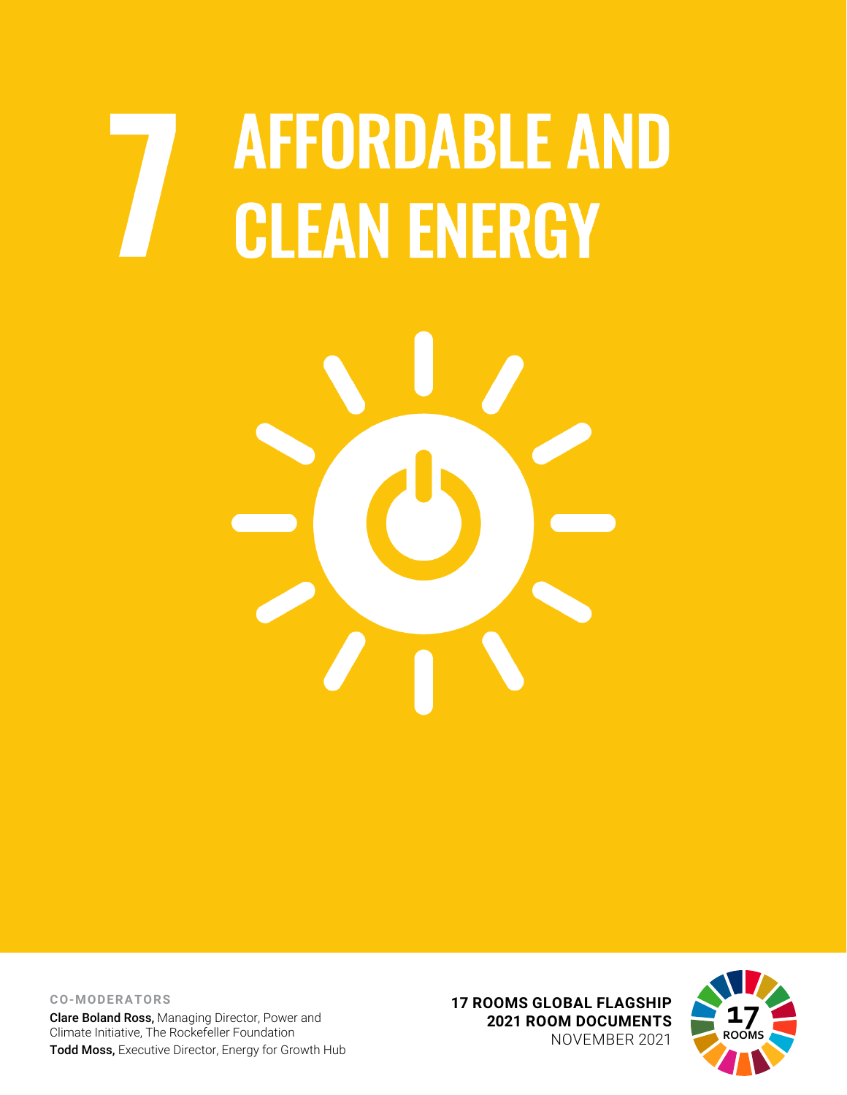## **AFFORDABLE AND CLEAN ENERGY**



**CO-MODERATORS** Clare Boland Ross, Managing Director, Power and Climate Initiative, The Rockefeller Foundation Todd Moss, Executive Director, Energy for Growth Hub **17 ROOMS GLOBAL FLAGSHIP 2021 ROOM DOCUMENTS** NOVEMBER 2021

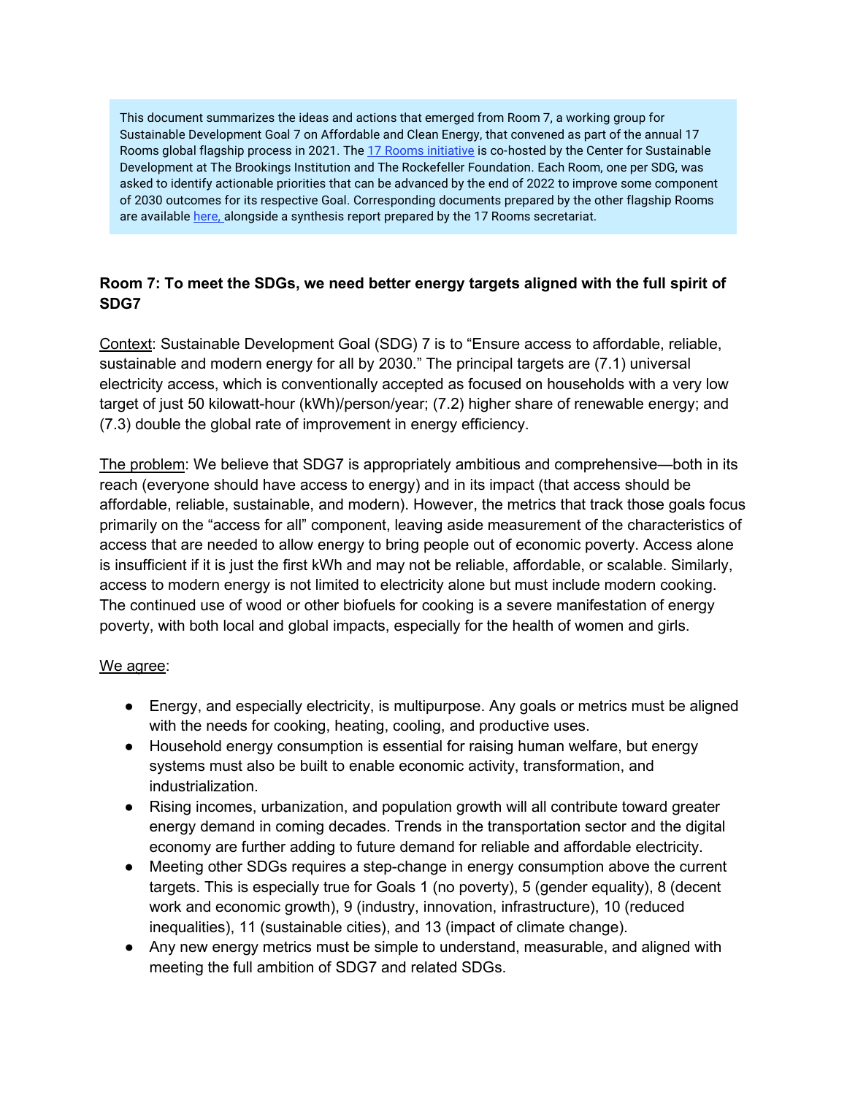This document summarizes the ideas and actions that emerged from Room 7, a working group for Sustainable Development Goal 7 on Affordable and Clean Energy, that convened as part of the annual 17 Rooms global flagship process in 2021. Th[e 17 Rooms initiative](https://www.brookings.edu/project/17-rooms/) is co-hosted by the Center for Sustainable Development at The Brookings Institution and The Rockefeller Foundation. Each Room, one per SDG, was asked to identify actionable priorities that can be advanced by the end of 2022 to improve some component of 2030 outcomes for its respective Goal. Corresponding documents prepared by the other flagship Rooms are available [here, a](http://www.brookings.edu/17rooms2021)longside a synthesis report prepared by the 17 Rooms secretariat.

## **Room 7: To meet the SDGs, we need better energy targets aligned with the full spirit of SDG7**

Context: Sustainable Development Goal (SDG) 7 is to "Ensure access to affordable, reliable, sustainable and modern energy for all by 2030." The principal targets are (7.1) universal electricity access, which is conventionally accepted as focused on households with a very low target of just 50 kilowatt-hour (kWh)/person/year; (7.2) higher share of renewable energy; and (7.3) double the global rate of improvement in energy efficiency.

The problem: We believe that SDG7 is appropriately ambitious and comprehensive—both in its reach (everyone should have access to energy) and in its impact (that access should be affordable, reliable, sustainable, and modern). However, the metrics that track those goals focus primarily on the "access for all" component, leaving aside measurement of the characteristics of access that are needed to allow energy to bring people out of economic poverty. Access alone is insufficient if it is just the first kWh and may not be reliable, affordable, or scalable. Similarly, access to modern energy is not limited to electricity alone but must include modern cooking. The continued use of wood or other biofuels for cooking is a severe manifestation of energy poverty, with both local and global impacts, especially for the health of women and girls.

## We agree:

- Energy, and especially electricity, is multipurpose. Any goals or metrics must be aligned with the needs for cooking, heating, cooling, and productive uses.
- Household energy consumption is essential for raising human welfare, but energy systems must also be built to enable economic activity, transformation, and industrialization.
- Rising incomes, urbanization, and population growth will all contribute toward greater energy demand in coming decades. Trends in the transportation sector and the digital economy are further adding to future demand for reliable and affordable electricity.
- Meeting other SDGs requires a step-change in energy consumption above the current targets. This is especially true for Goals 1 (no poverty), 5 (gender equality), 8 (decent work and economic growth), 9 (industry, innovation, infrastructure), 10 (reduced inequalities), 11 (sustainable cities), and 13 (impact of climate change).
- Any new energy metrics must be simple to understand, measurable, and aligned with meeting the full ambition of SDG7 and related SDGs.